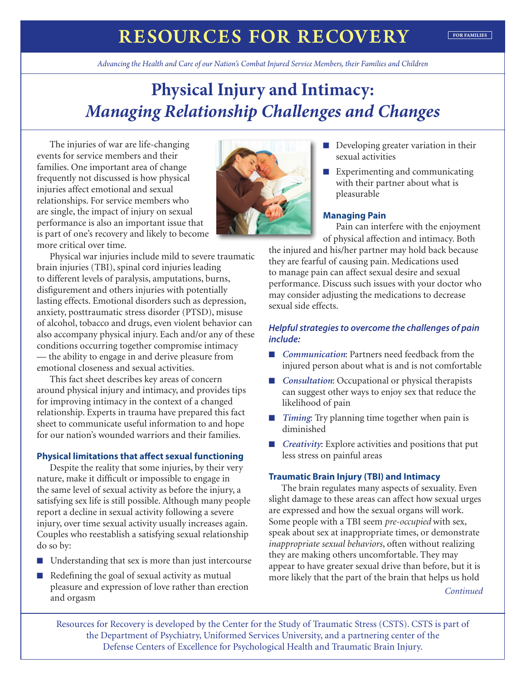## **RESOURCES FOR RECOVERY** FOR FAMILIES

*Advancing the Health and Care of our Nation's Combat Injured Service Members, their Families and Children*

# **Physical Injury and Intimacy:**  *Managing Relationship Challenges and Changes*

The injuries of war are life-changing events for service members and their families. One important area of change frequently not discussed is how physical injuries affect emotional and sexual relationships. For service members who are single, the impact of injury on sexual performance is also an important issue that is part of one's recovery and likely to become more critical over time.

Physical war injuries include mild to severe traumatic brain injuries (TBI), spinal cord injuries leading to different levels of paralysis, amputations, burns, disfigurement and others injuries with potentially lasting effects. Emotional disorders such as depression, anxiety, posttraumatic stress disorder (PTSD), misuse of alcohol, tobacco and drugs, even violent behavior can also accompany physical injury. Each and/or any of these conditions occurring together compromise intimacy — the ability to engage in and derive pleasure from emotional closeness and sexual activities.

This fact sheet describes key areas of concern around physical injury and intimacy, and provides tips for improving intimacy in the context of a changed relationship. Experts in trauma have prepared this fact sheet to communicate useful information to and hope for our nation's wounded warriors and their families.

## **Physical limitations that affect sexual functioning**

Despite the reality that some injuries, by their very nature, make it difficult or impossible to engage in the same level of sexual activity as before the injury, a satisfying sex life is still possible. Although many people report a decline in sexual activity following a severe injury, over time sexual activity usually increases again. Couples who reestablish a satisfying sexual relationship do so by:

- Understanding that sex is more than just intercourse
- Redefining the goal of sexual activity as mutual pleasure and expression of love rather than erection and orgasm



- Developing greater variation in their sexual activities
- Experimenting and communicating with their partner about what is pleasurable

#### **Managing Pain**

Pain can interfere with the enjoyment of physical affection and intimacy. Both

the injured and his/her partner may hold back because they are fearful of causing pain. Medications used to manage pain can affect sexual desire and sexual performance. Discuss such issues with your doctor who may consider adjusting the medications to decrease sexual side effects.

## *Helpful strategies to overcome the challenges of pain include:*

- *Communication*: Partners need feedback from the injured person about what is and is not comfortable
- *Consultation*: Occupational or physical therapists can suggest other ways to enjoy sex that reduce the likelihood of pain
- *Timing*: Try planning time together when pain is diminished
- *Creativity*: Explore activities and positions that put less stress on painful areas

### **Traumatic Brain Injury (TBI) and Intimacy**

The brain regulates many aspects of sexuality. Even slight damage to these areas can affect how sexual urges are expressed and how the sexual organs will work. Some people with a TBI seem *pre-occupied* with sex, speak about sex at inappropriate times, or demonstrate *inappropriate sexual behaviors*, often without realizing they are making others uncomfortable. They may appear to have greater sexual drive than before, but it is more likely that the part of the brain that helps us hold

*Continued*

Resources for Recovery is developed by the Center for the Study of Traumatic Stress (CSTS). CSTS is part of the Department of Psychiatry, Uniformed Services University, and a partnering center of the Defense Centers of Excellence for Psychological Health and Traumatic Brain Injury.